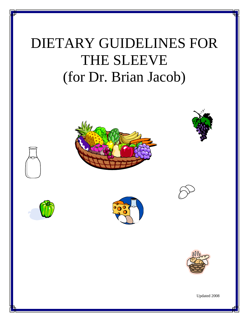# DIETARY GUIDELINES FOR THE SLEEVE (for Dr. Brian Jacob)





Updated 2008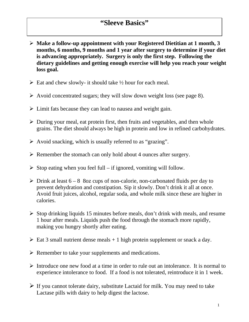## **"Sleeve Basics"**

- **Make a follow-up appointment with your Registered Dietitian at 1 month, 3 months, 6 months, 9 months and 1 year after surgery to determine if your diet is advancing appropriately. Surgery is only the first step. Following the dietary guidelines and getting enough exercise will help you reach your weight loss goal.**
- $\triangleright$  Eat and chew slowly- it should take  $\frac{1}{2}$  hour for each meal.
- $\triangleright$  Avoid concentrated sugars; they will slow down weight loss (see page 8).
- $\triangleright$  Limit fats because they can lead to nausea and weight gain.
- $\triangleright$  During your meal, eat protein first, then fruits and vegetables, and then whole grains. The diet should always be high in protein and low in refined carbohydrates.
- $\triangleright$  Avoid snacking, which is usually referred to as "grazing".
- $\triangleright$  Remember the stomach can only hold about 4 ounces after surgery.
- $\triangleright$  Stop eating when you feel full if ignored, vomiting will follow.
- $\triangleright$  Drink at least 6 8 8oz cups of non-calorie, non-carbonated fluids per day to prevent dehydration and constipation. Sip it slowly. Don't drink it all at once. Avoid fruit juices, alcohol, regular soda, and whole milk since these are higher in calories.
- $\triangleright$  Stop drinking liquids 15 minutes before meals, don't drink with meals, and resume 1 hour after meals. Liquids push the food through the stomach more rapidly, making you hungry shortly after eating.
- $\triangleright$  Eat 3 small nutrient dense meals + 1 high protein supplement or snack a day.
- $\triangleright$  Remember to take your supplements and medications.
- $\triangleright$  Introduce one new food at a time in order to rule out an intolerance. It is normal to experience intolerance to food. If a food is not tolerated, reintroduce it in 1 week.
- $\triangleright$  If you cannot tolerate dairy, substitute Lactaid for milk. You may need to take Lactase pills with dairy to help digest the lactose.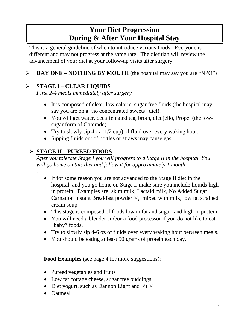# **Your Diet Progression During & After Your Hospital Stay**

This is a general guideline of when to introduce various foods. Everyone is different and may not progress at the same rate. The dietitian will review the advancement of your diet at your follow-up visits after surgery.

## **DAY ONE – NOTHING BY MOUTH** (the hospital may say you are "NPO")

### **STAGE I – CLEAR LIQUIDS**

*First 2-4 meals immediately after surgery*

- It is composed of clear, low calorie, sugar free fluids (the hospital may say you are on a "no concentrated sweets" diet).
- You will get water, decaffeinated tea, broth, diet jello, Propel (the lowsugar form of Gatorade).
- Try to slowly sip 4 oz  $(1/2$  cup) of fluid over every waking hour.
- Sipping fluids out of bottles or straws may cause gas.

## **STAGE II** – **PUREED FOODS**

*.*

*After you tolerate Stage I you will progress to a Stage II in the hospital. You will go home on this diet and follow it for approximately 1 month*

- If for some reason you are not advanced to the Stage II diet in the hospital, and you go home on Stage I, make sure you include liquids high in protein. Examples are: skim milk, Lactaid milk, No Added Sugar Carnation Instant Breakfast powder  $\mathcal{B}$ , mixed with milk, low fat strained cream soup
- This stage is composed of foods low in fat and sugar, and high in protein.
- You will need a blender and/or a food processor if you do not like to eat "baby" foods.
- Try to slowly sip 4-6 oz of fluids over every waking hour between meals.
- You should be eating at least 50 grams of protein each day.

**Food Examples** (see page 4 for more suggestions):

- Pureed vegetables and fruits
- Low fat cottage cheese, sugar free puddings
- Diet yogurt, such as Dannon Light and Fit  $\otimes$
- Oatmeal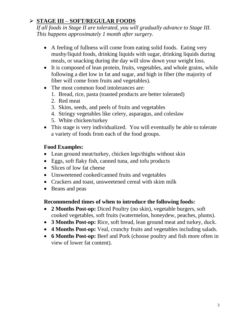## **STAGE III** – **SOFT/REGULAR FOODS**

*If all foods in Stage II are tolerated, you will gradually advance to Stage III. This happens approximately 1 month after surgery.*

- A feeling of fullness will come from eating solid foods. Eating very mushy/liquid foods, drinking liquids with sugar, drinking liquids during meals, or snacking during the day will slow down your weight loss.
- It is composed of lean protein, fruits, vegetables, and whole grains, while following a diet low in fat and sugar, and high in fiber (the majority of fiber will come from fruits and vegetables).
- The most common food intolerances are:
	- 1. Bread, rice, pasta (toasted products are better tolerated)
	- 2. Red meat
	- 3. Skins, seeds, and peels of fruits and vegetables
	- 4. Stringy vegetables like celery, asparagus, and coleslaw
	- 5. White chicken/turkey
- This stage is very individualized. You will eventually be able to tolerate a variety of foods from each of the food groups.

#### **Food Examples:**

- Lean ground meat/turkey, chicken legs/thighs without skin
- Eggs, soft flaky fish, canned tuna, and tofu products
- Slices of low fat cheese
- Unsweetened cooked/canned fruits and vegetables
- Crackers and toast, unsweetened cereal with skim milk
- Beans and peas

#### **Recommended times of when to introduce the following foods:**

- **2 Months Post-op:** Diced Poultry (no skin), vegetable burgers, soft cooked vegetables, soft fruits (watermelon, honeydew, peaches, plums).
- **3 Months Post-op:** Rice, soft bread, lean ground meat and turkey, duck.
- **4 Months Post-op:** Veal, crunchy fruits and vegetables including salads.
- **6 Months Post-op:** Beef and Pork (choose poultry and fish more often in view of lower fat content).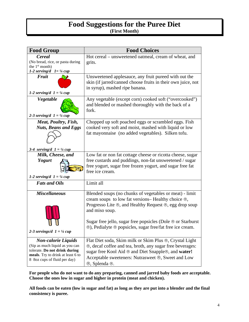#### **Food Suggestions for the Puree Diet (First Month)**

| <b>Food Group</b>                                                                                                                                                  | <b>Food Choices</b>                                                                                                                                                                                                                                      |
|--------------------------------------------------------------------------------------------------------------------------------------------------------------------|----------------------------------------------------------------------------------------------------------------------------------------------------------------------------------------------------------------------------------------------------------|
| Cereal<br>(No bread, rice, or pasta during                                                                                                                         | Hot cereal – unsweetened oatmeal, cream of wheat, and                                                                                                                                                                                                    |
| the 1 <sup>st</sup> month)                                                                                                                                         | grits.                                                                                                                                                                                                                                                   |
| 1-2 serving/d $1 = \frac{1}{4}$ cup                                                                                                                                |                                                                                                                                                                                                                                                          |
| <b>Fruit</b><br>1-2 serving/d $1 = \frac{1}{4}$ cup                                                                                                                | Unsweetened applesauce, any fruit pureed with out the<br>skin (if jarred/canned choose fruits in their own juice, not<br>in syrup), mashed ripe banana.                                                                                                  |
| Vegetable<br>2-3 serving/d $1 = \frac{1}{4}$ cup                                                                                                                   | Any vegetable (except corn) cooked soft ("overcooked")<br>and blended or mashed thoroughly with the back of a<br>fork.                                                                                                                                   |
| Meat, Poultry, Fish,                                                                                                                                               | Chopped up soft poached eggs or scrambled eggs. Fish                                                                                                                                                                                                     |
| <b>Nuts, Beans and Eggs</b>                                                                                                                                        | cooked very soft and moist, mashed with liquid or low                                                                                                                                                                                                    |
|                                                                                                                                                                    | fat mayonnaise (no added vegetables). Silken tofu.                                                                                                                                                                                                       |
| 3-4 serving/d $1 = \frac{1}{4}$ cup                                                                                                                                |                                                                                                                                                                                                                                                          |
| Milk, Cheese, and                                                                                                                                                  | Low fat or non fat cottage cheese or ricotta cheese, sugar                                                                                                                                                                                               |
| <b>Yogurt</b><br>1-2 serving/d $1 = \frac{1}{4}$ cup                                                                                                               | free custards and puddings, non-fat unsweetened / sugar<br>free yogurt, sugar free frozen yogurt, and sugar free fat<br>free ice cream.                                                                                                                  |
| <b>Fats and Oils</b>                                                                                                                                               | Limit all                                                                                                                                                                                                                                                |
| <b>Miscellaneous</b>                                                                                                                                               | Blended soups (no chunks of vegetables or meat) - limit<br>cream soups to low fat versions– Healthy choice ®,<br>Progresso Lite ®, and Healthy Request ®, egg drop soup<br>and miso soup.<br>Sugar free jello, sugar free popsicles (Dole ® or Starburst |
| 2-3 servings/d $1 = \frac{1}{4}$ cup                                                                                                                               | ®), Pedialyte ® popsicles, sugar free/fat free ice cream.                                                                                                                                                                                                |
| <b>Non-calorie Liquids</b><br>(Sip as much liquid as you can<br>tolerate. Do not drink during<br>meals. Try to drink at least 6 to<br>8 8oz cups of fluid per day) | Flat Diet soda, Skim milk or Skim Plus ®, Crystal Light<br>®, decaf coffee and tea, broth, any sugar free beverages:<br>sugar free Kool Aid ® and Diet Snapple®, and water!<br>Acceptable sweeteners: Nutrasweet ®, Sweet and Low<br>®, Splenda ®.       |

**For people who do not want to do any preparing, canned and jarred baby foods are acceptable. Choose the ones low in sugar and higher in protein (meat and chicken).**

**All foods can be eaten (low in sugar and fat) as long as they are put into a blender and the final consistency is puree.**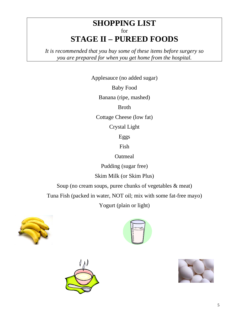## **SHOPPING LIST** for **STAGE II – PUREED FOODS**

*It is recommended that you buy some of these items before surgery so you are prepared for when you get home from the hospital.*

Applesauce (no added sugar)

Baby Food

Banana (ripe, mashed)

Broth

Cottage Cheese (low fat)

Crystal Light

Eggs

Fish

**Oatmeal** 

Pudding (sugar free)

Skim Milk (or Skim Plus)

Soup (no cream soups, puree chunks of vegetables & meat)

Tuna Fish (packed in water, NOT oil; mix with some fat-free mayo)

Yogurt (plain or light)







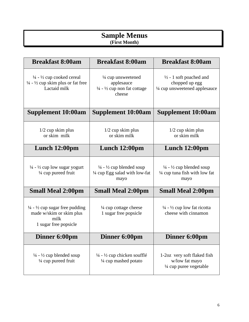#### **Sample Menus (First Month)**

| <b>Breakfast 8:00am</b>                                                                                                    | <b>Breakfast 8:00am</b>                                                                                    | <b>Breakfast 8:00am</b>                                                                            |
|----------------------------------------------------------------------------------------------------------------------------|------------------------------------------------------------------------------------------------------------|----------------------------------------------------------------------------------------------------|
| $\frac{1}{4}$ - $\frac{1}{2}$ cup cooked cereal<br>$\frac{1}{4}$ - $\frac{1}{2}$ cup skim plus or fat free<br>Lactaid milk | $\frac{1}{4}$ cup unsweetened<br>applesauce<br>$\frac{1}{4}$ - $\frac{1}{2}$ cup non fat cottage<br>cheese | $\frac{1}{2}$ - 1 soft poached and<br>chopped up egg<br>1/4 cup unsweetened applesauce             |
| <b>Supplement 10:00am</b>                                                                                                  | <b>Supplement 10:00am</b>                                                                                  | <b>Supplement 10:00am</b>                                                                          |
| $1/2$ cup skim plus<br>or skim milk                                                                                        | $1/2$ cup skim plus<br>or skim milk                                                                        | $1/2$ cup skim plus<br>or skim milk                                                                |
| Lunch $12:00 \text{pm}$                                                                                                    | Lunch $12:00 \text{pm}$                                                                                    | Lunch $12:00 \text{pm}$                                                                            |
| $\frac{1}{4}$ - $\frac{1}{2}$ cup low sugar yogurt<br>1/4 cup pureed fruit                                                 | $\frac{1}{4}$ - $\frac{1}{2}$ cup blended soup<br>1/4 cup Egg salad with low-fat<br>mayo                   | $\frac{1}{4}$ - $\frac{1}{2}$ cup blended soup<br>$\frac{1}{4}$ cup tuna fish with low fat<br>mayo |
| <b>Small Meal 2:00pm</b>                                                                                                   | <b>Small Meal 2:00pm</b>                                                                                   | <b>Small Meal 2:00pm</b>                                                                           |
| $\frac{1}{4}$ - $\frac{1}{2}$ cup sugar free pudding<br>made w/skim or skim plus<br>milk<br>1 sugar free popsicle          | $\frac{1}{4}$ cup cottage cheese<br>1 sugar free popsicle                                                  | $\frac{1}{4}$ - $\frac{1}{2}$ cup low fat ricotta<br>cheese with cinnamon                          |
| Dinner 6:00pm                                                                                                              | Dinner 6:00pm                                                                                              | Dinner 6:00pm                                                                                      |
| $\frac{1}{4}$ - $\frac{1}{2}$ cup blended soup<br>1/4 cup pureed fruit                                                     | $\frac{1}{4}$ - $\frac{1}{2}$ cup chicken soufflé<br>1/4 cup mashed potato                                 | 1-2oz very soft flaked fish<br>w/low fat mayo<br>$\frac{1}{4}$ cup puree vegetable                 |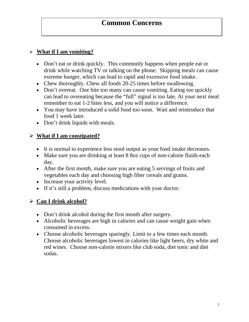## **Common Concerns**

#### **What if I am vomiting?**

- Don't eat or drink quickly. This commonly happens when people eat or drink while watching TV or talking on the phone. Skipping meals can cause extreme hunger, which can lead to rapid and excessive food intake.
- Chew thoroughly. Chew all foods 20-25 times before swallowing.
- Don't overeat. One bite too many can cause vomiting. Eating too quickly can lead to overeating because the "full" signal is too late. At your next meal remember to eat 1-2 bites less, and you will notice a difference.
- You may have introduced a solid food too soon. Wait and reintroduce that food 1 week later.
- Don't drink liquids with meals.

#### **What if I am constipated?**

- It is normal to experience less stool output as your food intake decreases.
- Make sure you are drinking at least 8 8oz cups of non-calorie fluids each day.
- After the first month, make sure you are eating 5 servings of fruits and vegetables each day and choosing high fiber cereals and grains.
- Increase your activity level.
- If it's still a problem, discuss medications with your doctor.

#### **Can I drink alcohol?**

- Don't drink alcohol during the first month after surgery.
- Alcoholic beverages are high in calories and can cause weight gain when consumed in excess.
- Choose alcoholic beverages sparingly. Limit to a few times each month. Choose alcoholic beverages lowest in calories like light beers, dry white and red wines. Choose non-calorie mixers like club soda, diet tonic and diet sodas.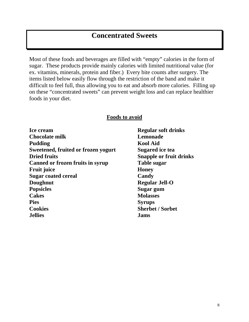# **Concentrated Sweets**

Most of these foods and beverages are filled with "empty" calories in the form of sugar. These products provide mainly calories with limited nutritional value (for ex. vitamins, minerals, protein and fiber.) Every bite counts after surgery. The items listed below easily flow through the restriction of the band and make it difficult to feel full, thus allowing you to eat and absorb more calories. Filling up on these "concentrated sweets" can prevent weight loss and can replace healthier foods in your diet.

#### **Foods to avoid**

| <b>ice cream</b>                           | <b>Kegu</b>  |
|--------------------------------------------|--------------|
| <b>Chocolate milk</b>                      | Lemo         |
| Pudding                                    | Kool         |
| <b>Sweetened, fruited or frozen yogurt</b> | <b>Suga</b>  |
| <b>Dried fruits</b>                        | <b>Snap</b>  |
| <b>Canned or frozen fruits in syrup</b>    | <b>Table</b> |
| Fruit juice                                | Hone         |
| <b>Sugar coated cereal</b>                 | Cand         |
| Doughnut                                   | Regu         |
| <b>Popsicles</b>                           | Suga:        |
| <b>Cakes</b>                               | Mola         |
| Pies                                       | Syru         |
| <b>Cookies</b>                             | <b>Sherl</b> |
| <b>Jellies</b>                             | Jams         |
|                                            |              |

**Regular soft drinks** Lemonade **Kool Aid Sugared** ice tea **Snapple or fruit drinks Table sugar Honey Candy Regular Jell-O Sugar gum Cakes Molasses Syrups Sherbet / Sorbet**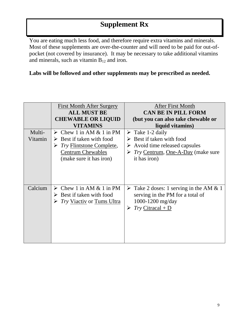You are eating much less food, and therefore require extra vitamins and minerals. Most of these supplements are over-the-counter and will need to be paid for out-ofpocket (not covered by insurance). It may be necessary to take additional vitamins and minerals, such as vitamin  $B_{12}$  and iron.

#### **Labs will be followed and other supplements may be prescribed as needed.**

|                   | First Month After Surgery                                                                                                                                              | <b>After First Month</b>                                                                                                                                                                           |
|-------------------|------------------------------------------------------------------------------------------------------------------------------------------------------------------------|----------------------------------------------------------------------------------------------------------------------------------------------------------------------------------------------------|
|                   | <b>ALL MUST BE</b><br><b>CHEWABLE OR LIQUID</b>                                                                                                                        | <b>CAN BE IN PILL FORM</b><br>(but you can also take chewable or                                                                                                                                   |
|                   | <b>VITAMINS</b>                                                                                                                                                        | liquid vitamins)                                                                                                                                                                                   |
| Multi-<br>Vitamin | $\triangleright$ Chew 1 in AM & 1 in PM<br>Best if taken with food<br>➤<br><i>Try</i> Flintstone Complete,<br>➤<br><b>Centrum Chewables</b><br>(make sure it has iron) | $\triangleright$ Take 1-2 daily<br>$\triangleright$ Best if taken with food<br>$\triangleright$ Avoid time released capsules<br>$\triangleright$ Try Centrum, One-A-Day (make sure<br>it has iron) |
| Calcium           | $\triangleright$ Chew 1 in AM & 1 in PM<br>$\triangleright$ Best if taken with food<br>$\triangleright$ <i>Try</i> <u>Viactiv</u> or Tums Ultra                        | $\triangleright$ Take 2 doses: 1 serving in the AM & 1<br>serving in the PM for a total of<br>1000-1200 mg/day<br>$Try$ Citracal + D<br>➤                                                          |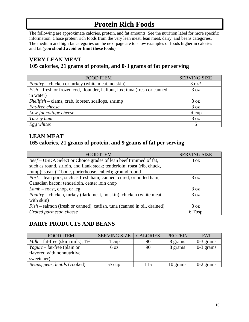# **Protein Rich Foods**

The following are approximate calories, protein, and fat amounts. See the nutrition label for more specific information. Chose protein rich foods from the very lean meat, lean meat, dairy, and beans categories. The medium and high fat categories on the next page are to show examples of foods higher in calories and fat (**you should avoid or limit these foods**).

#### **VERY LEAN MEAT 105 calories, 21 grams of protein, and 0-3 grams of fat per serving**

| <b>FOOD ITEM</b>                                                                 | <b>SERVING SIZE</b> |
|----------------------------------------------------------------------------------|---------------------|
| <i>Poultry</i> – chicken or turkey (white meat, no skin)                         | $3 oz*$             |
| <i>Fish</i> – fresh or frozen cod, flounder, halibut, lox; tuna (fresh or canned | 3 oz                |
| in water)                                                                        |                     |
| $Shellfish - claims, crab, lobster, scallops, shrimp$                            | 3 oz                |
| Fat-free cheese                                                                  | 3 oz                |
| Low-fat cottage cheese                                                           | $\frac{3}{4}$ cup   |
| Turkey ham                                                                       | 3 oz                |
| Egg whites                                                                       | $\mathsf{\hat{n}}$  |

#### **LEAN MEAT 165 calories, 21 grams of protein, and 9 grams of fat per serving**

| <b>FOOD ITEM</b>                                                            | <b>SERVING SIZE</b> |
|-----------------------------------------------------------------------------|---------------------|
| Beef – USDA Select or Choice grades of lean beef trimmed of fat,            | 3 oz                |
| such as round, sirloin, and flank steak; tenderloin; roast (rib, chuck,     |                     |
| rump); steak (T-bone, porterhouse, cubed); ground round                     |                     |
| <i>Pork</i> – lean pork, such as fresh ham; canned, cured, or boiled ham;   | 3 oz                |
| Canadian bacon; tenderloin, center loin chop                                |                     |
| $Lamb$ – roast, chop, or leg                                                | 3 oz                |
| <i>Poultry</i> – chicken, turkey (dark meat, no skin), chicken (white meat, | 3 oz                |
| with skin)                                                                  |                     |
| $Fish$ – salmon (fresh or canned), catfish, tuna (canned in oil, drained)   | 3 oz                |
| Grated parmesan cheese                                                      | 6 Tbsp              |

#### **DAIRY PRODUCTS AND BEANS**

| <b>FOOD ITEM</b>                                            | <b>SERVING SIZE</b> | <b>CALORIES</b> | <b>PROTEIN</b> | <b>FAT</b>  |
|-------------------------------------------------------------|---------------------|-----------------|----------------|-------------|
| $Milk$ – fat-free (skim milk), 1%                           | 1 cup               | 90              | 8 grams        | $0-3$ grams |
| $Yogurt$ – fat-free (plain or<br>flavored with nonnutritive | 6 oz                | 90              | 8 grams        | $0-3$ grams |
| sweetener)                                                  |                     |                 |                |             |
| Beans, peas, lentils (cooked)                               | $\frac{1}{2}$ cup   | 115             | 10 grams       | $0-2$ grams |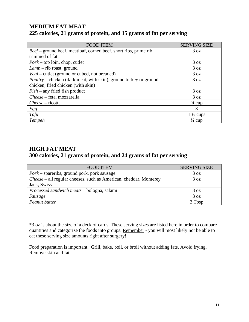#### **MEDIUM FAT MEAT 225 calories, 21 grams of protein, and 15 grams of fat per serving**

| <b>FOOD ITEM</b>                                                         | <b>SERVING SIZE</b> |
|--------------------------------------------------------------------------|---------------------|
| Beef – ground beef, meatloaf, corned beef, short ribs, prime rib         | 3 oz                |
| trimmed of fat                                                           |                     |
| $\textit{Pork}-$ top loin, chop, cutlet                                  | 3 oz                |
| $Lamb$ – rib roast, ground                                               | 3 oz                |
| Veal – cutlet (ground or cubed, not breaded)                             | 3 oz                |
| <i>Poultry</i> – chicken (dark meat, with skin), ground turkey or ground | 3 oz                |
| chicken, fried chicken (with skin)                                       |                     |
| $Fish - any friend fish product$                                         | 3 oz                |
| Cheese - feta, mozzarella                                                | 3 oz                |
| Cheese – ricotta                                                         | $\frac{3}{4}$ cup   |
| <i>Egg</i>                                                               | 3                   |
| Tofu                                                                     | $1\frac{1}{2}$ cups |
| Tempeh                                                                   | $\frac{3}{4}$ cup   |

#### **HIGH FAT MEAT 300 calories, 21 grams of protein, and 24 grams of fat per serving**

| <b>FOOD ITEM</b>                                                  | <b>SERVING SIZE</b> |
|-------------------------------------------------------------------|---------------------|
| <i>Pork</i> – spareribs, ground pork, pork sausage                | 3 oz                |
| Cheese – all regular cheeses, such as American, cheddar, Monterey | 3 oz                |
| Jack, Swiss                                                       |                     |
| Processed sandwich meats - bologna, salami                        | 3 oz                |
| Sausage                                                           | 3 oz                |
| Peanut butter                                                     | 3 Tbsp              |

\*3 oz is about the size of a deck of cards. These serving sizes are listed here in order to compare quantities and categorize the foods into groups. Remember - you will most likely not be able to eat these serving size amounts right after surgery!

Food preparation is important. Grill, bake, boil, or broil without adding fats. Avoid frying. Remove skin and fat.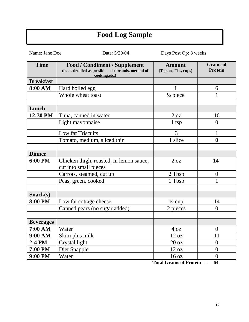# **Food Log Sample**

Name: Jane Doe Date: 5/20/04 Days Post Op: 8 weeks

| <b>Time</b>      | <b>Food / Condiment / Supplement</b><br>(be as detailed as possible - list brands, method of<br>cooking, etc.) | <b>Amount</b><br>(Tsp, oz, Tbs, cups)                                                     | <b>Grams</b> of<br><b>Protein</b> |
|------------------|----------------------------------------------------------------------------------------------------------------|-------------------------------------------------------------------------------------------|-----------------------------------|
| <b>Breakfast</b> |                                                                                                                |                                                                                           |                                   |
| 8:00 AM          | Hard boiled egg                                                                                                |                                                                                           | 6                                 |
|                  | Whole wheat toast                                                                                              | $\frac{1}{2}$ piece                                                                       | $\mathbf{1}$                      |
|                  |                                                                                                                |                                                                                           |                                   |
| Lunch            |                                                                                                                |                                                                                           |                                   |
| 12:30 PM         | Tuna, canned in water                                                                                          | $2 \text{ oz}$                                                                            | 16                                |
|                  | Light mayonnaise                                                                                               | 1 tsp                                                                                     | $\theta$                          |
|                  | Low fat Triscuits                                                                                              | 3                                                                                         | $\mathbf{1}$                      |
|                  | Tomato, medium, sliced thin                                                                                    | 1 slice                                                                                   | $\boldsymbol{0}$                  |
|                  |                                                                                                                |                                                                                           |                                   |
| <b>Dinner</b>    |                                                                                                                |                                                                                           |                                   |
| 6:00 PM          | Chicken thigh, roasted, in lemon sauce,<br>cut into small pieces                                               | 2 oz                                                                                      | 14                                |
|                  | Carrots, steamed, cut up                                                                                       | 2 Tbsp                                                                                    | $\boldsymbol{0}$                  |
|                  | Peas, green, cooked                                                                                            | 1 Tbsp                                                                                    | 1                                 |
|                  |                                                                                                                |                                                                                           |                                   |
| Snack(s)         |                                                                                                                |                                                                                           |                                   |
| 8:00 PM          | Low fat cottage cheese                                                                                         | $\frac{1}{2}$ cup                                                                         | 14                                |
|                  | Canned pears (no sugar added)                                                                                  | 2 pieces                                                                                  | $\theta$                          |
|                  |                                                                                                                |                                                                                           |                                   |
| <b>Beverages</b> |                                                                                                                |                                                                                           |                                   |
| 7:00 AM          | Water                                                                                                          | 4 oz                                                                                      | $\overline{0}$                    |
| 9:00 AM          | Skim plus milk                                                                                                 | 12 oz                                                                                     | 11                                |
| 2-4 PM           | Crystal light                                                                                                  | 20 oz                                                                                     | $\overline{0}$                    |
| 7:00 PM          | Diet Snapple                                                                                                   | 12 oz                                                                                     | $\overline{0}$                    |
| 9:00 PM          | Water                                                                                                          | 16 oz<br>$\mathbf{m}$ $\mathbf{m}$<br>$\mathbf{e}$ $\mathbf{n}$ $\mathbf{u}$ $\mathbf{v}$ | $\overline{0}$<br>$\epsilon$      |

 **Total Grams of Protein = 64**